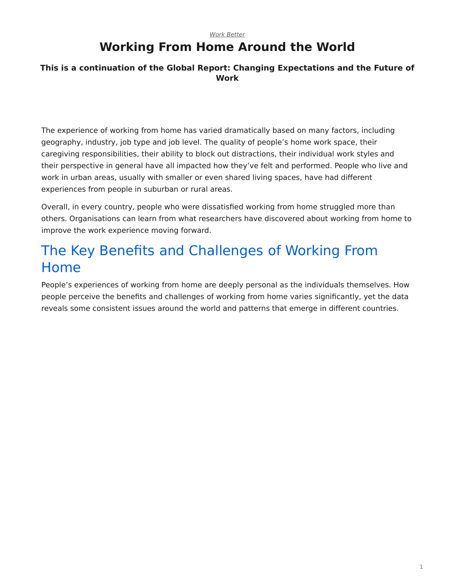#### *[Work Better](https://www.steelcase.com/asia-en/research/topics/work-better/)*

# **Working From Home Around the World**

### **This is a continuation of the Global Report: Changing Expectations and the Future of Work**

The experience of working from home has varied dramatically based on many factors, including geography, industry, job type and job level. The quality of people's home work space, their caregiving responsibilities, their ability to block out distractions, their individual work styles and their perspective in general have all impacted how they've felt and performed. People who live and work in urban areas, usually with smaller or even shared living spaces, have had different experiences from people in suburban or rural areas.

Overall, in every country, people who were dissatisfied working from home struggled more than others. Organisations can learn from what researchers have discovered about working from home to improve the work experience moving forward.

# The Key Benefits and Challenges of Working From Home

People's experiences of working from home are deeply personal as the individuals themselves. How people perceive the benefits and challenges of working from home varies significantly, yet the data reveals some consistent issues around the world and patterns that emerge in different countries.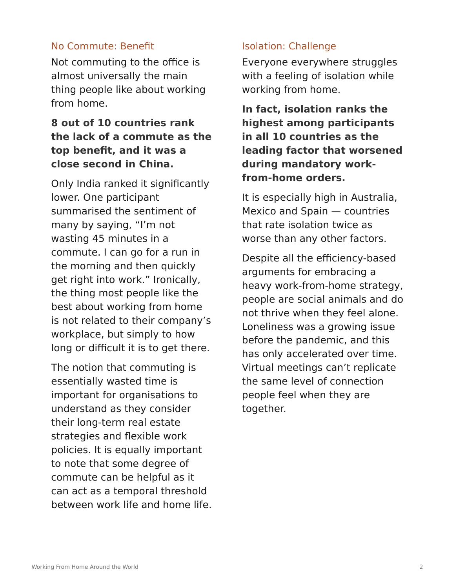## No Commute: Benefit

Not commuting to the office is almost universally the main thing people like about working from home.

# **8 out of 10 countries rank the lack of a commute as the top benefit, and it was a close second in China.**

Only India ranked it significantly lower. One participant summarised the sentiment of many by saying, "I'm not wasting 45 minutes in a commute. I can go for a run in the morning and then quickly get right into work." Ironically, the thing most people like the best about working from home is not related to their company's workplace, but simply to how long or difficult it is to get there.

The notion that commuting is essentially wasted time is important for organisations to understand as they consider their long-term real estate strategies and flexible work policies. It is equally important to note that some degree of commute can be helpful as it can act as a temporal threshold between work life and home life.

## Isolation: Challenge

Everyone everywhere struggles with a feeling of isolation while working from home.

**In fact, isolation ranks the highest among participants in all 10 countries as the leading factor that worsened during mandatory workfrom-home orders.**

It is especially high in Australia, Mexico and Spain — countries that rate isolation twice as worse than any other factors.

Despite all the efficiency-based arguments for embracing a heavy work-from-home strategy, people are social animals and do not thrive when they feel alone. Loneliness was a growing issue before the pandemic, and this has only accelerated over time. Virtual meetings can't replicate the same level of connection people feel when they are together.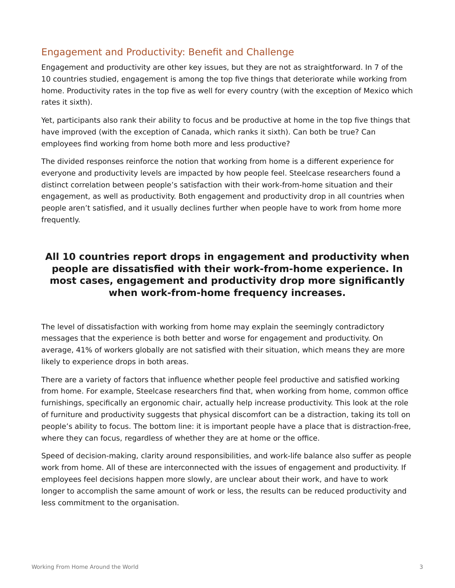## Engagement and Productivity: Benefit and Challenge

Engagement and productivity are other key issues, but they are not as straightforward. In 7 of the 10 countries studied, engagement is among the top five things that deteriorate while working from home. Productivity rates in the top five as well for every country (with the exception of Mexico which rates it sixth).

Yet, participants also rank their ability to focus and be productive at home in the top five things that have improved (with the exception of Canada, which ranks it sixth). Can both be true? Can employees find working from home both more and less productive?

The divided responses reinforce the notion that working from home is a different experience for everyone and productivity levels are impacted by how people feel. Steelcase researchers found a distinct correlation between people's satisfaction with their work-from-home situation and their engagement, as well as productivity. Both engagement and productivity drop in all countries when people aren't satisfied, and it usually declines further when people have to work from home more frequently.

## **All 10 countries report drops in engagement and productivity when people are dissatisfied with their work-from-home experience. In most cases, engagement and productivity drop more significantly when work-from-home frequency increases.**

The level of dissatisfaction with working from home may explain the seemingly contradictory messages that the experience is both better and worse for engagement and productivity. On average, 41% of workers globally are not satisfied with their situation, which means they are more likely to experience drops in both areas.

There are a variety of factors that influence whether people feel productive and satisfied working from home. For example, Steelcase researchers find that, when working from home, common office furnishings, specifically an ergonomic chair, actually help increase productivity. This look at the role of furniture and productivity suggests that physical discomfort can be a distraction, taking its toll on people's ability to focus. The bottom line: it is important people have a place that is distraction-free, where they can focus, regardless of whether they are at home or the office.

Speed of decision-making, clarity around responsibilities, and work-life balance also suffer as people work from home. All of these are interconnected with the issues of engagement and productivity. If employees feel decisions happen more slowly, are unclear about their work, and have to work longer to accomplish the same amount of work or less, the results can be reduced productivity and less commitment to the organisation.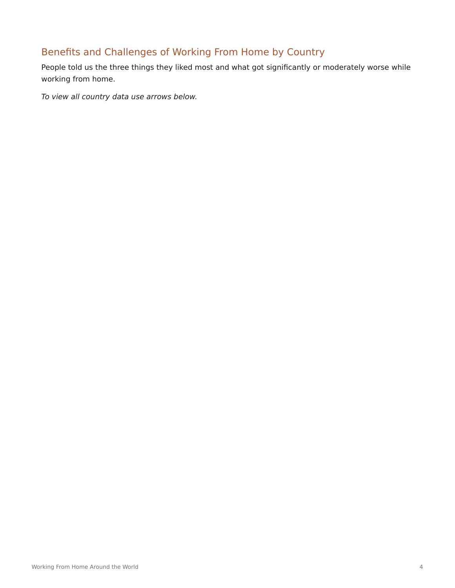# Benefits and Challenges of Working From Home by Country

People told us the three things they liked most and what got significantly or moderately worse while working from home.

*To view all country data use arrows below.*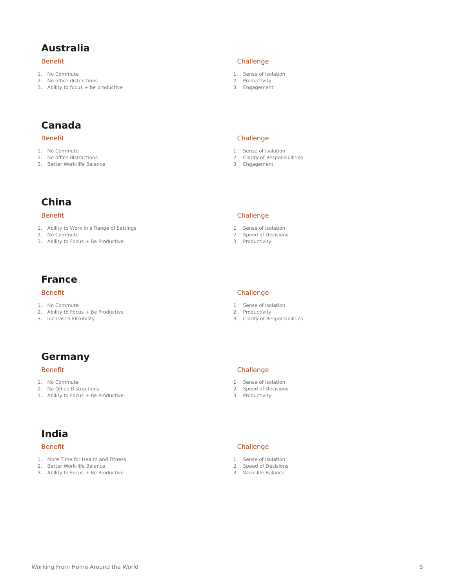## **Australia**

#### Benefit

- 1. No Commute
- 2. No office distractions
- 3. Ability to focus + be productive

# **Canada**

#### Benefit

- 1. No Commute
- 2. No office distractions
- 3. Better Work-life Balance

## **China**

#### Benefit

- 1. Ability to Work in a Range of Settings
- 2. No Commute
- 3. Ability to Focus + Be Productive

## **France**

#### Benefit

- 1. No Commute
- 2. Ability to Focus + Be Productive
- 3. Increased Flexibility

# **Germany**

#### Benefit

- 1. No Commute
- 2. No Office Distractions
- 3. Ability to Focus + Be Productive

# **India**

#### Benefit

- 1. More Time for Health and Fitness
- 2. Better Work-life Balance
- 3. Ability to Focus + Be Productive

#### Challenge

- 1. Sense of Isolation
- 2. Productivity
- 3. Engagement

#### Challenge

- 1. Sense of Isolation
- 2. Clarity of Responsibilities
- 3. Engagement

#### Challenge

- 1. Sense of Isolation
- 2. Speed of Decisions
- 3. Productivity

#### Challenge

- 1. Sense of Isolation
- 2. Productivity
- 3. Clarity of Responsibilities

#### Challenge

- 1. Sense of Isolation
- 2. Speed of Decisions
- 3. Productivity

#### Challenge

- 1. Sense of Isolation
- 2. Speed of Decisions
- 3. Work-life Balance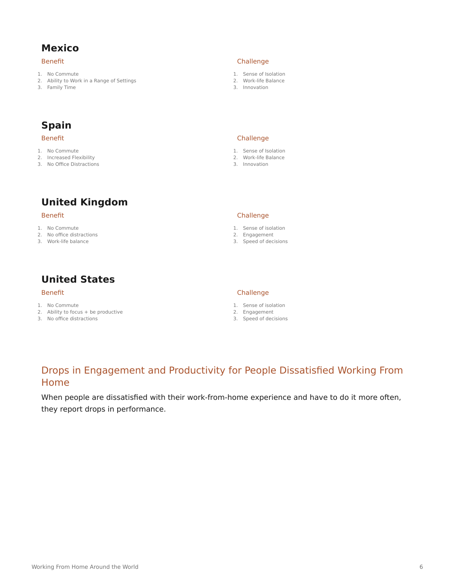## **Mexico**

#### Benefit

- 1. No Commute
- 2. Ability to Work in a Range of Settings
- 3. Family Time

#### Challenge

- 1. Sense of Isolation
- 2. Work-life Balance
- 3. Innovation

# **Spain**

#### Benefit

- 1. No Commute
- 2. Increased Flexibility
- 3. No Office Distractions

# **United Kingdom**

#### Benefit

- 1. No Commute
- 2. No office distractions
- 3. Work-life balance

# **United States**

#### Benefit

- 1. No Commute
- 2. Ability to focus + be productive
- 3. No office distractions

# 3. Innovation

Challenge 1. Sense of Isolation 2. Work-life Balance

#### Challenge

- 1. Sense of isolation
- 2. Engagement
- 3. Speed of decisions

#### Challenge

- 1. Sense of isolation
- 2. Engagement
- 3. Speed of decisions

## Drops in Engagement and Productivity for People Dissatisfied Working From Home

When people are dissatisfied with their work-from-home experience and have to do it more often, they report drops in performance.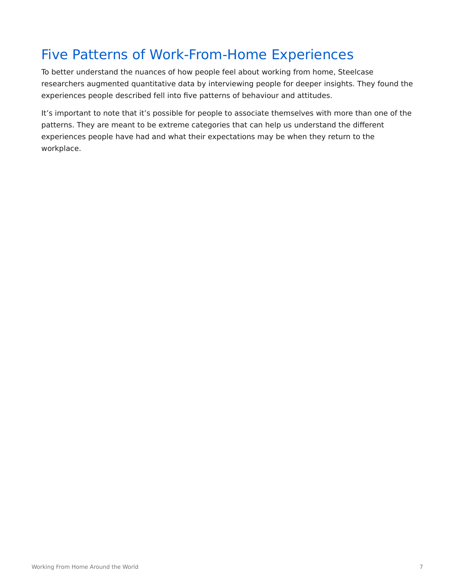# Five Patterns of Work-From-Home Experiences

To better understand the nuances of how people feel about working from home, Steelcase researchers augmented quantitative data by interviewing people for deeper insights. They found the experiences people described fell into five patterns of behaviour and attitudes.

It's important to note that it's possible for people to associate themselves with more than one of the patterns. They are meant to be extreme categories that can help us understand the different experiences people have had and what their expectations may be when they return to the workplace.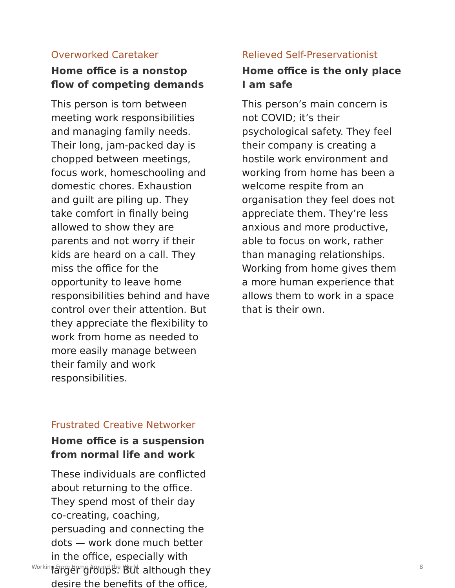## Overworked Caretaker

# **Home office is a nonstop flow of competing demands**

This person is torn between meeting work responsibilities and managing family needs. Their long, jam-packed day is chopped between meetings, focus work, homeschooling and domestic chores. Exhaustion and guilt are piling up. They take comfort in finally being allowed to show they are parents and not worry if their kids are heard on a call. They miss the office for the opportunity to leave home responsibilities behind and have control over their attention. But they appreciate the flexibility to work from home as needed to more easily manage between their family and work responsibilities.

### Relieved Self-Preservationist

# **Home office is the only place I am safe**

This person's main concern is not COVID; it's their psychological safety. They feel their company is creating a hostile work environment and working from home has been a welcome respite from an organisation they feel does not appreciate them. They're less anxious and more productive, able to focus on work, rather than managing relationships. Working from home gives them a more human experience that allows them to work in a space that is their own.

## Frustrated Creative Networker

# **Home office is a suspension from normal life and work**

These individuals are conflicted about returning to the office. They spend most of their day co-creating, coaching, persuading and connecting the dots — work done much better in the office, especially with  $\frac{1}{\text{Working}}$  From Home Around the World although they are although the Value of  $\frac{8}{\text{Working}}$ desire the benefits of the office,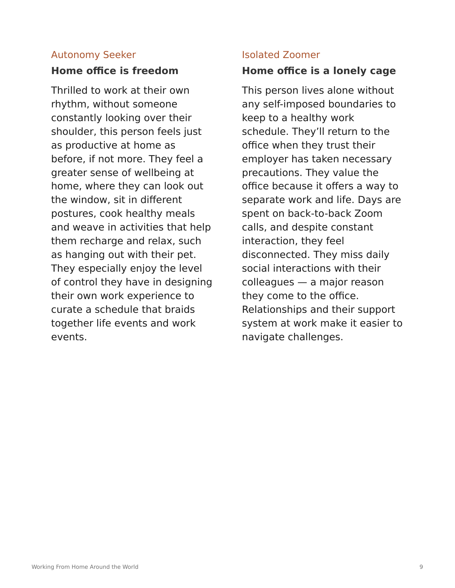# Autonomy Seeker

## **Home office is freedom**

Thrilled to work at their own rhythm, without someone constantly looking over their shoulder, this person feels just as productive at home as before, if not more. They feel a greater sense of wellbeing at home, where they can look out the window, sit in different postures, cook healthy meals and weave in activities that help them recharge and relax, such as hanging out with their pet. They especially enjoy the level of control they have in designing their own work experience to curate a schedule that braids together life events and work events.

## Isolated Zoomer

## **Home office is a lonely cage**

This person lives alone without any self-imposed boundaries to keep to a healthy work schedule. They'll return to the office when they trust their employer has taken necessary precautions. They value the office because it offers a way to separate work and life. Days are spent on back-to-back Zoom calls, and despite constant interaction, they feel disconnected. They miss daily social interactions with their colleagues — a major reason they come to the office. Relationships and their support system at work make it easier to navigate challenges.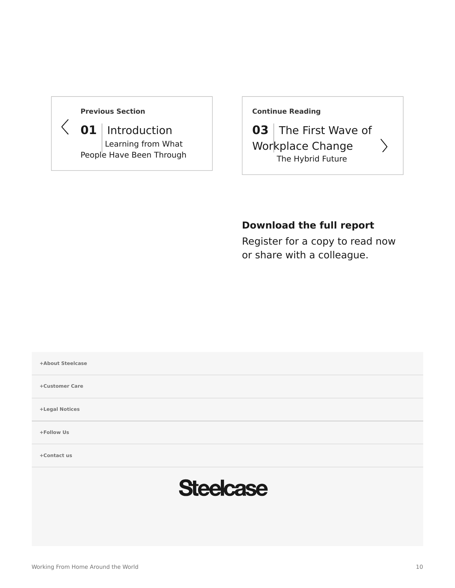### **[Previous Section](https://www.steelcase.com/asia-en/research/articles/changing-expectations-future-work/)**

 $\langle$  **01** | [Introduction](https://www.steelcase.com/asia-en/research/articles/changing-expectations-future-work/) [Learning from What](https://www.steelcase.com/asia-en/research/articles/changing-expectations-future-work/) [People Have Been Through](https://www.steelcase.com/asia-en/research/articles/changing-expectations-future-work/) **[Continue Reading](https://www.steelcase.com/asia-en/research/articles/first-wave-workplace-change/)**

**03** [The First Wave of](https://www.steelcase.com/asia-en/research/articles/first-wave-workplace-change/) [Workplace Change](https://www.steelcase.com/asia-en/research/articles/first-wave-workplace-change/) [The Hybrid Future](https://www.steelcase.com/asia-en/research/articles/first-wave-workplace-change/)

 $\left\langle \right\rangle$ 

## **Download the full report**

Register for a copy to read now or share with a colleague.